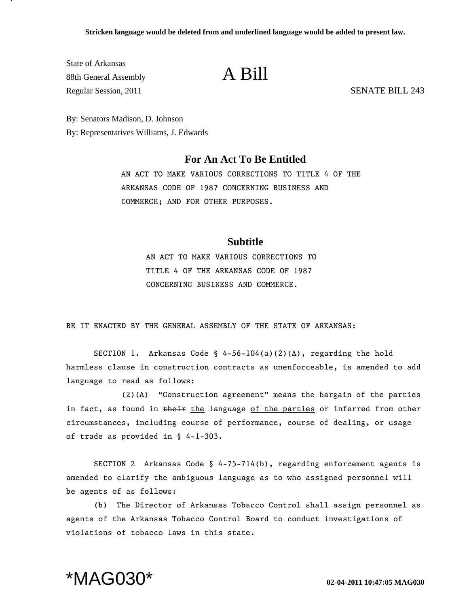State of Arkansas 88th General Assembly **A Bill** Regular Session, 2011 SENATE BILL 243

By: Senators Madison, D. Johnson By: Representatives Williams, J. Edwards

## **For An Act To Be Entitled**

AN ACT TO MAKE VARIOUS CORRECTIONS TO TITLE 4 OF THE ARKANSAS CODE OF 1987 CONCERNING BUSINESS AND COMMERCE; AND FOR OTHER PURPOSES.

## **Subtitle**

AN ACT TO MAKE VARIOUS CORRECTIONS TO TITLE 4 OF THE ARKANSAS CODE OF 1987 CONCERNING BUSINESS AND COMMERCE.

BE IT ENACTED BY THE GENERAL ASSEMBLY OF THE STATE OF ARKANSAS:

SECTION 1. Arkansas Code §  $4-56-104(a)(2)(A)$ , regarding the hold harmless clause in construction contracts as unenforceable, is amended to add language to read as follows:

(2)(A) "Construction agreement" means the bargain of the parties in fact, as found in their the language of the parties or inferred from other circumstances, including course of performance, course of dealing, or usage of trade as provided in § 4-1-303.

SECTION 2 Arkansas Code § 4-75-714(b), regarding enforcement agents is amended to clarify the ambiguous language as to who assigned personnel will be agents of as follows:

(b) The Director of Arkansas Tobacco Control shall assign personnel as agents of the Arkansas Tobacco Control Board to conduct investigations of violations of tobacco laws in this state.

## \*MAG030\* **02-04-2011 10:47:05 MAG030**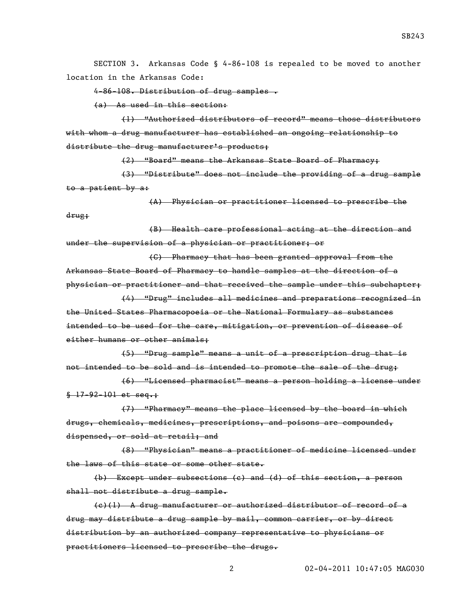SECTION 3. Arkansas Code § 4-86-108 is repealed to be moved to another location in the Arkansas Code:

4-86-108. Distribution of drug samples .

(a) As used in this section:

(1) "Authorized distributors of record" means those distributors with whom a drug manufacturer has established an ongoing relationship to distribute the drug manufacturer's products;

(2) "Board" means the Arkansas State Board of Pharmacy;

(3) "Distribute" does not include the providing of a drug sample to a patient by a:

(A) Physician or practitioner licensed to prescribe the drug;

(B) Health care professional acting at the direction and under the supervision of a physician or practitioner; or

(C) Pharmacy that has been granted approval from the Arkansas State Board of Pharmacy to handle samples at the direction of a physician or practitioner and that received the sample under this subchapter;

(4) "Drug" includes all medicines and preparations recognized in the United States Pharmacopoeia or the National Formulary as substances intended to be used for the care, mitigation, or prevention of disease of either humans or other animals;

(5) "Drug sample" means a unit of a prescription drug that is not intended to be sold and is intended to promote the sale of the drug;

(6) "Licensed pharmacist" means a person holding a license under  $$-17-92-101$  et seq.:

(7) "Pharmacy" means the place licensed by the board in which drugs, chemicals, medicines, prescriptions, and poisons are compounded, dispensed, or sold at retail; and

(8) "Physician" means a practitioner of medicine licensed under the laws of this state or some other state.

(b) Except under subsections (c) and (d) of this section, a person shall not distribute a drug sample.

(c)(1) A drug manufacturer or authorized distributor of record of a drug may distribute a drug sample by mail, common carrier, or by direct distribution by an authorized company representative to physicians or practitioners licensed to prescribe the drugs.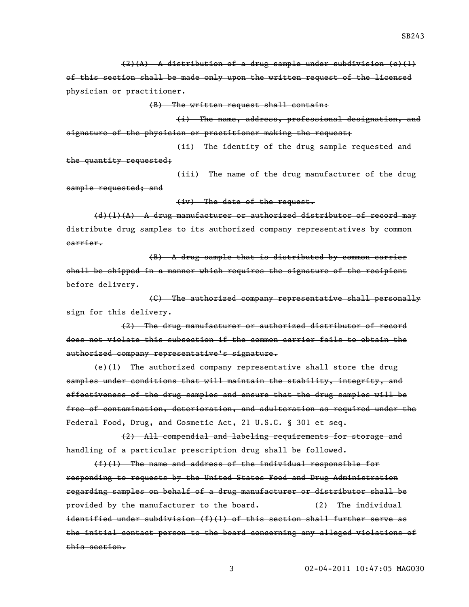(2)(A) A distribution of a drug sample under subdivision (c)(1)

of this section shall be made only upon the written request of the licensed physician or practitioner.

(B) The written request shall contain:

(i) The name, address, professional designation, and signature of the physician or practitioner making the request;

(ii) The identity of the drug sample requested and the quantity requested;

(iii) The name of the drug manufacturer of the drug sample requested; and

(iv) The date of the request.

(d)(1)(A) A drug manufacturer or authorized distributor of record may distribute drug samples to its authorized company representatives by common carrier.

(B) A drug sample that is distributed by common carrier shall be shipped in a manner which requires the signature of the recipient before delivery.

(C) The authorized company representative shall personally sign for this delivery.

(2) The drug manufacturer or authorized distributor of record does not violate this subsection if the common carrier fails to obtain the authorized company representative's signature.

(e)(1) The authorized company representative shall store the drug samples under conditions that will maintain the stability, integrity, and effectiveness of the drug samples and ensure that the drug samples will be free of contamination, deterioration, and adulteration as required under the Federal Food, Drug, and Cosmetic Act, 21 U.S.C. § 301 et seq.

(2) All compendial and labeling requirements for storage and handling of a particular prescription drug shall be followed.

(f)(1) The name and address of the individual responsible for responding to requests by the United States Food and Drug Administration regarding samples on behalf of a drug manufacturer or distributor shall be provided by the manufacturer to the board. (2) The individual identified under subdivision (f)(1) of this section shall further serve as the initial contact person to the board concerning any alleged violations of this section.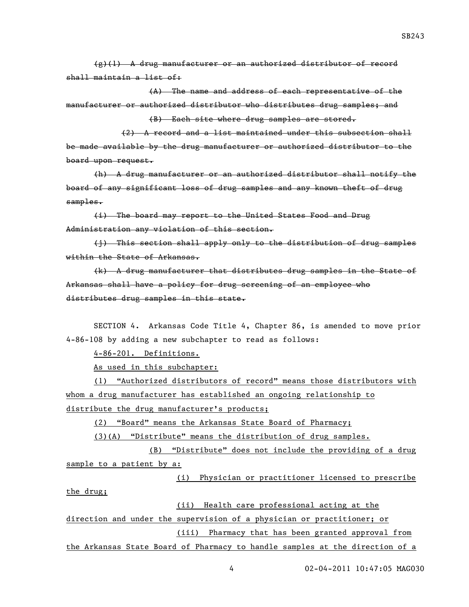(g)(1) A drug manufacturer or an authorized distributor of record shall maintain a list of:

(A) The name and address of each representative of the manufacturer or authorized distributor who distributes drug samples; and (B) Each site where drug samples are stored.

(2) A record and a list maintained under this subsection shall be made available by the drug manufacturer or authorized distributor to the board upon request.

(h) A drug manufacturer or an authorized distributor shall notify the board of any significant loss of drug samples and any known theft of drug samples.

(i) The board may report to the United States Food and Drug Administration any violation of this section.

(j) This section shall apply only to the distribution of drug samples within the State of Arkansas.

(k) A drug manufacturer that distributes drug samples in the State of Arkansas shall have a policy for drug screening of an employee who distributes drug samples in this state.

SECTION 4. Arkansas Code Title 4, Chapter 86, is amended to move prior 4-86-108 by adding a new subchapter to read as follows:

4-86-201. Definitions.

As used in this subchapter:

(1) "Authorized distributors of record" means those distributors with whom a drug manufacturer has established an ongoing relationship to distribute the drug manufacturer's products;

(2) "Board" means the Arkansas State Board of Pharmacy;

(3)(A) "Distribute" means the distribution of drug samples.

(B) "Distribute" does not include the providing of a drug sample to a patient by a:

(i) Physician or practitioner licensed to prescribe the drug;

(ii) Health care professional acting at the

direction and under the supervision of a physician or practitioner; or (iii) Pharmacy that has been granted approval from

the Arkansas State Board of Pharmacy to handle samples at the direction of a

4 02-04-2011 10:47:05 MAG030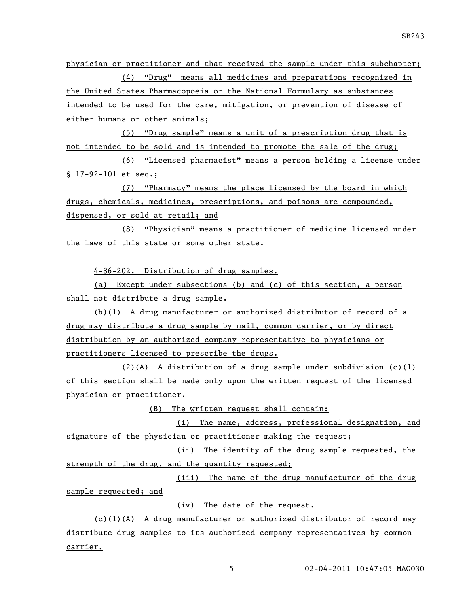physician or practitioner and that received the sample under this subchapter; (4) "Drug" means all medicines and preparations recognized in the United States Pharmacopoeia or the National Formulary as substances intended to be used for the care, mitigation, or prevention of disease of either humans or other animals;

(5) "Drug sample" means a unit of a prescription drug that is not intended to be sold and is intended to promote the sale of the drug;

(6) "Licensed pharmacist" means a person holding a license under § 17-92-101 et seq.;

(7) "Pharmacy" means the place licensed by the board in which drugs, chemicals, medicines, prescriptions, and poisons are compounded, dispensed, or sold at retail; and

(8) "Physician" means a practitioner of medicine licensed under the laws of this state or some other state.

4-86-202. Distribution of drug samples.

(a) Except under subsections (b) and (c) of this section, a person shall not distribute a drug sample.

(b)(1) A drug manufacturer or authorized distributor of record of a drug may distribute a drug sample by mail, common carrier, or by direct distribution by an authorized company representative to physicians or practitioners licensed to prescribe the drugs.

 $(2)(A)$  A distribution of a drug sample under subdivision  $(c)(1)$ of this section shall be made only upon the written request of the licensed physician or practitioner.

(B) The written request shall contain:

(i) The name, address, professional designation, and signature of the physician or practitioner making the request;

(ii) The identity of the drug sample requested, the strength of the drug, and the quantity requested;

(iii) The name of the drug manufacturer of the drug sample requested; and

(iv) The date of the request.

 $(c)(1)(A)$  A drug manufacturer or authorized distributor of record may distribute drug samples to its authorized company representatives by common carrier.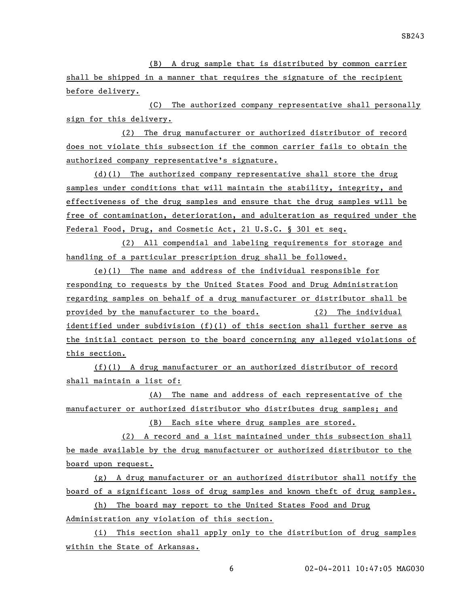(B) A drug sample that is distributed by common carrier shall be shipped in a manner that requires the signature of the recipient before delivery.

(C) The authorized company representative shall personally sign for this delivery.

(2) The drug manufacturer or authorized distributor of record does not violate this subsection if the common carrier fails to obtain the authorized company representative's signature.

(d)(1) The authorized company representative shall store the drug samples under conditions that will maintain the stability, integrity, and effectiveness of the drug samples and ensure that the drug samples will be free of contamination, deterioration, and adulteration as required under the Federal Food, Drug, and Cosmetic Act, 21 U.S.C. § 301 et seq.

(2) All compendial and labeling requirements for storage and handling of a particular prescription drug shall be followed.

(e)(1) The name and address of the individual responsible for responding to requests by the United States Food and Drug Administration regarding samples on behalf of a drug manufacturer or distributor shall be provided by the manufacturer to the board. (2) The individual identified under subdivision (f)(1) of this section shall further serve as the initial contact person to the board concerning any alleged violations of this section.

(f)(1) A drug manufacturer or an authorized distributor of record shall maintain a list of:

(A) The name and address of each representative of the manufacturer or authorized distributor who distributes drug samples; and

(B) Each site where drug samples are stored.

(2) A record and a list maintained under this subsection shall be made available by the drug manufacturer or authorized distributor to the board upon request.

(g) A drug manufacturer or an authorized distributor shall notify the board of a significant loss of drug samples and known theft of drug samples.

(h) The board may report to the United States Food and Drug Administration any violation of this section.

(i) This section shall apply only to the distribution of drug samples within the State of Arkansas.

6 02-04-2011 10:47:05 MAG030